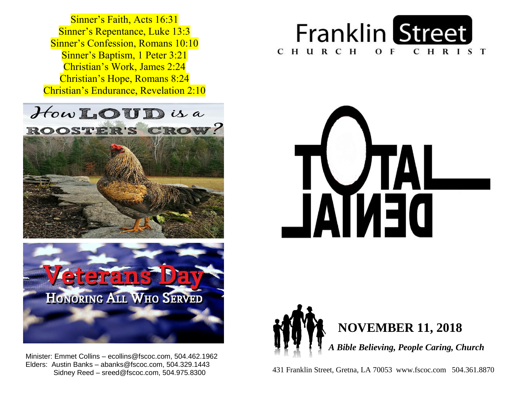**Sinner's Baptism, 1 Peter 3:21**  Christian's Work, James 2:24  Christian's Hope, Romans 8:24  Christian's Endurance, Revelation 2:10 Sinner's Faith, Acts 16:31 Sinner's Repentance, Luke 13:3 Sinner's Confession, Romans 10:10









 winister: Emmet Collins – ecollins@fscoc.com, 504.462.19<br>Elders: Austin Banks – abanks@fscoc.com, 504.329.1443  Sidney Reed – sreed@fscoc.com, 504.975.8300Minister: Emmet Collins – ecollins@fscoc.com, 504.462.1962



 431 Franklin Street, Gretna, LA 70053 www.fscoc.com 504.361.8870